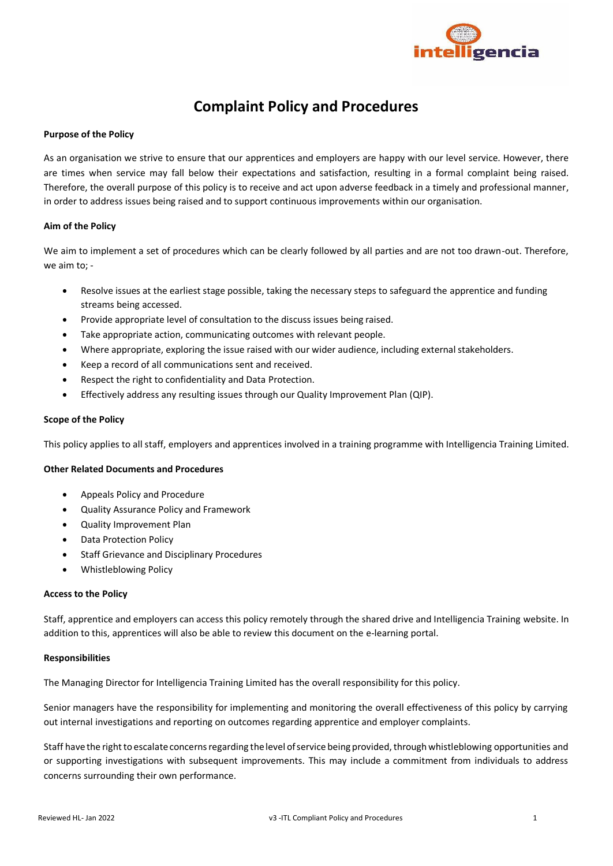

# **Complaint Policy and Procedures**

# **Purpose of the Policy**

As an organisation we strive to ensure that our apprentices and employers are happy with our level service. However, there are times when service may fall below their expectations and satisfaction, resulting in a formal complaint being raised. Therefore, the overall purpose of this policy is to receive and act upon adverse feedback in a timely and professional manner, in order to address issues being raised and to support continuous improvements within our organisation.

### **Aim of the Policy**

We aim to implement a set of procedures which can be clearly followed by all parties and are not too drawn-out. Therefore, we aim to; -

- Resolve issues at the earliest stage possible, taking the necessary steps to safeguard the apprentice and funding streams being accessed.
- Provide appropriate level of consultation to the discuss issues being raised.
- Take appropriate action, communicating outcomes with relevant people.
- Where appropriate, exploring the issue raised with our wider audience, including external stakeholders.
- Keep a record of all communications sent and received.
- Respect the right to confidentiality and Data Protection.
- Effectively address any resulting issues through our Quality Improvement Plan (QIP).

## **Scope of the Policy**

This policy applies to all staff, employers and apprentices involved in a training programme with Intelligencia Training Limited.

# **Other Related Documents and Procedures**

- Appeals Policy and Procedure
- Quality Assurance Policy and Framework
- Quality Improvement Plan
- Data Protection Policy
- Staff Grievance and Disciplinary Procedures
- Whistleblowing Policy

### **Access to the Policy**

Staff, apprentice and employers can access this policy remotely through the shared drive and Intelligencia Training website. In addition to this, apprentices will also be able to review this document on the e-learning portal.

### **Responsibilities**

The Managing Director for Intelligencia Training Limited has the overall responsibility for this policy.

Senior managers have the responsibility for implementing and monitoring the overall effectiveness of this policy by carrying out internal investigations and reporting on outcomes regarding apprentice and employer complaints.

Staff have the right to escalate concerns regarding the level of service being provided, through whistleblowing opportunities and or supporting investigations with subsequent improvements. This may include a commitment from individuals to address concerns surrounding their own performance.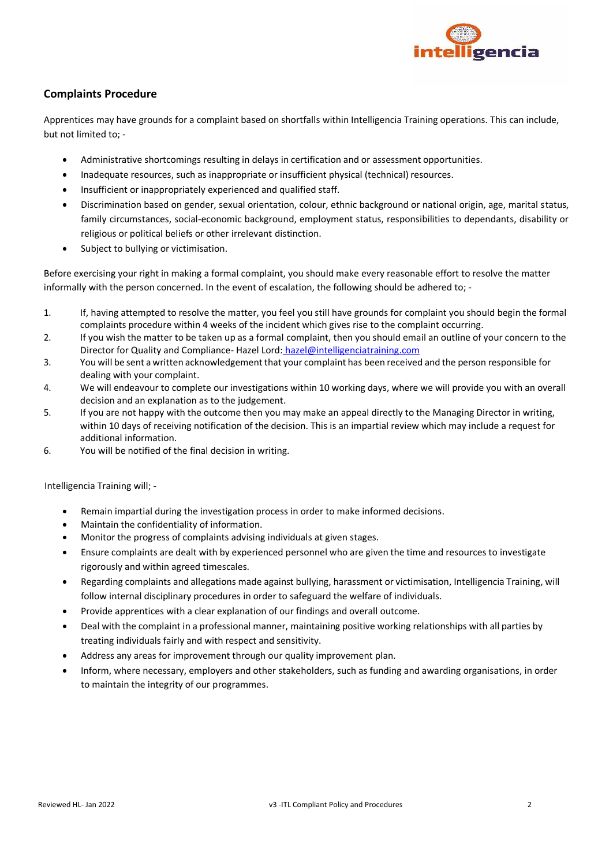

# **Complaints Procedure**

Apprentices may have grounds for a complaint based on shortfalls within Intelligencia Training operations. This can include, but not limited to; -

- Administrative shortcomings resulting in delays in certification and or assessment opportunities.
- Inadequate resources, such as inappropriate or insufficient physical (technical) resources.
- Insufficient or inappropriately experienced and qualified staff.
- Discrimination based on gender, sexual orientation, colour, ethnic background or national origin, age, marital status, family circumstances, social-economic background, employment status, responsibilities to dependants, disability or religious or political beliefs or other irrelevant distinction.
- Subject to bullying or victimisation.

Before exercising your right in making a formal complaint, you should make every reasonable effort to resolve the matter informally with the person concerned. In the event of escalation, the following should be adhered to; -

- 1. If, having attempted to resolve the matter, you feel you still have grounds for complaint you should begin the formal complaints procedure within 4 weeks of the incident which gives rise to the complaint occurring.
- 2. If you wish the matter to be taken up as a formal complaint, then you should email an outline of your concern to the Director for Quality and Compliance- Hazel Lord: hazel@intelligenciatraining.com
- 3. You will be sent a written acknowledgement that your complaint has been received and the person responsible for dealing with your complaint.
- 4. We will endeavour to complete our investigations within 10 working days, where we will provide you with an overall decision and an explanation as to the judgement.
- 5. If you are not happy with the outcome then you may make an appeal directly to the Managing Director in writing, within 10 days of receiving notification of the decision. This is an impartial review which may include a request for additional information.
- 6. You will be notified of the final decision in writing.

Intelligencia Training will; -

- Remain impartial during the investigation process in order to make informed decisions.
- Maintain the confidentiality of information.
- Monitor the progress of complaints advising individuals at given stages.
- Ensure complaints are dealt with by experienced personnel who are given the time and resources to investigate rigorously and within agreed timescales.
- Regarding complaints and allegations made against bullying, harassment or victimisation, Intelligencia Training, will follow internal disciplinary procedures in order to safeguard the welfare of individuals.
- Provide apprentices with a clear explanation of our findings and overall outcome.
- Deal with the complaint in a professional manner, maintaining positive working relationships with all parties by treating individuals fairly and with respect and sensitivity.
- Address any areas for improvement through our quality improvement plan.
- Inform, where necessary, employers and other stakeholders, such as funding and awarding organisations, in order to maintain the integrity of our programmes.